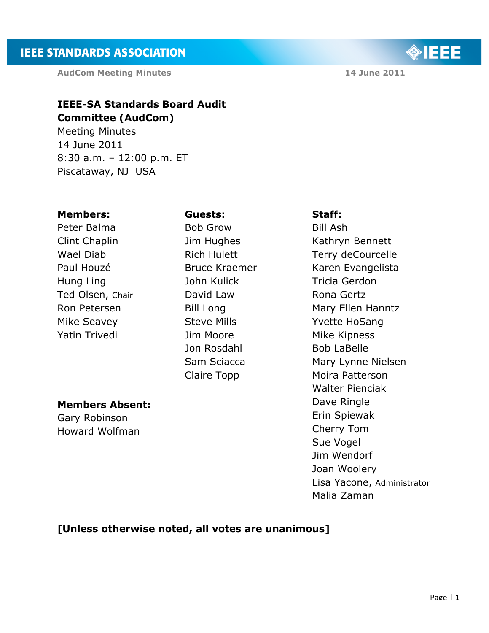**AudCom Meeting Minutes 14 June 2011** 

# **IEEE-SA Standards Board Audit Committee (AudCom)**

Meeting Minutes 14 June 2011 8:30 a.m. – 12:00 p.m. ET Piscataway, NJ USA

#### **Members:**

Peter Balma Clint Chaplin Wael Diab Paul Houzé Hung Ling Ted Olsen, Chair Ron Petersen Mike Seavey Yatin Trivedi

#### **Guests:**

Bob Grow Jim Hughes Rich Hulett Bruce Kraemer John Kulick David Law Bill Long Steve Mills Jim Moore Jon Rosdahl Sam Sciacca Claire Topp

# **Staff:**

Bill Ash Kathryn Bennett Terry deCourcelle Karen Evangelista Tricia Gerdon Rona Gertz Mary Ellen Hanntz Yvette HoSang Mike Kipness Bob LaBelle Mary Lynne Nielsen Moira Patterson Walter Pienciak Dave Ringle Erin Spiewak Cherry Tom Sue Vogel Jim Wendorf Joan Woolery Lisa Yacone, Administrator Malia Zaman

# **Members Absent:**

Gary Robinson Howard Wolfman

## **[Unless otherwise noted, all votes are unanimous]**

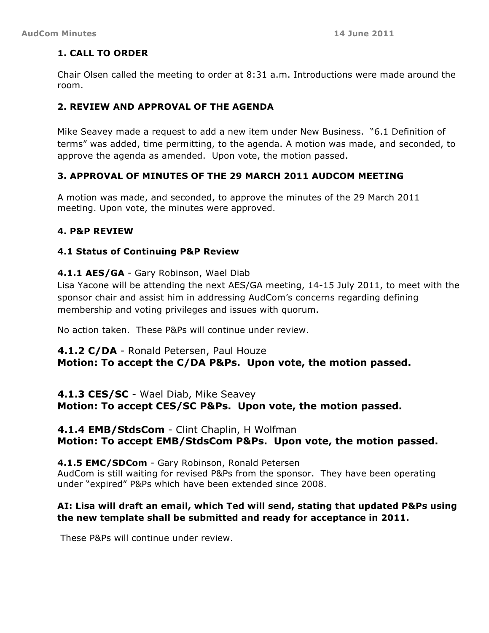### **1. CALL TO ORDER**

Chair Olsen called the meeting to order at 8:31 a.m. Introductions were made around the room.

### **2. REVIEW AND APPROVAL OF THE AGENDA**

Mike Seavey made a request to add a new item under New Business. "6.1 Definition of terms" was added, time permitting, to the agenda. A motion was made, and seconded, to approve the agenda as amended. Upon vote, the motion passed.

### **3. APPROVAL OF MINUTES OF THE 29 MARCH 2011 AUDCOM MEETING**

A motion was made, and seconded, to approve the minutes of the 29 March 2011 meeting. Upon vote, the minutes were approved.

#### **4. P&P REVIEW**

#### **4.1 Status of Continuing P&P Review**

#### **4.1.1 AES/GA** - Gary Robinson, Wael Diab

Lisa Yacone will be attending the next AES/GA meeting, 14-15 July 2011, to meet with the sponsor chair and assist him in addressing AudCom's concerns regarding defining membership and voting privileges and issues with quorum.

No action taken. These P&Ps will continue under review.

#### **4.1.2 C/DA** - Ronald Petersen, Paul Houze

**Motion: To accept the C/DA P&Ps. Upon vote, the motion passed.**

**4.1.3 CES/SC** - Wael Diab, Mike Seavey **Motion: To accept CES/SC P&Ps. Upon vote, the motion passed.**

## **4.1.4 EMB/StdsCom** - Clint Chaplin, H Wolfman **Motion: To accept EMB/StdsCom P&Ps. Upon vote, the motion passed.**

**4.1.5 EMC/SDCom** - Gary Robinson, Ronald Petersen AudCom is still waiting for revised P&Ps from the sponsor. They have been operating under "expired" P&Ps which have been extended since 2008.

### **AI: Lisa will draft an email, which Ted will send, stating that updated P&Ps using the new template shall be submitted and ready for acceptance in 2011.**

These P&Ps will continue under review.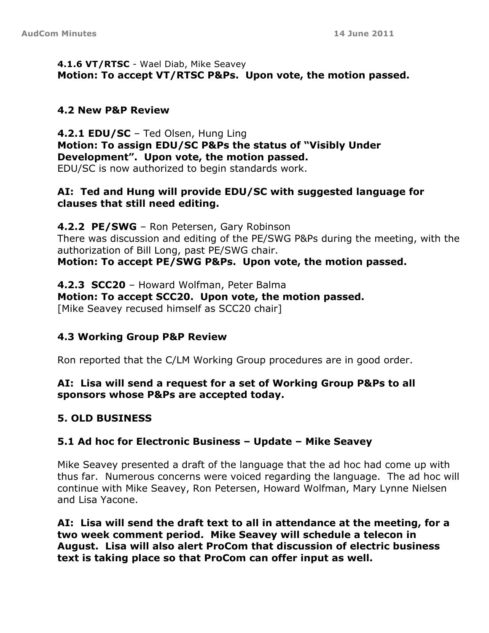### **4.1.6 VT/RTSC** - Wael Diab, Mike Seavey **Motion: To accept VT/RTSC P&Ps. Upon vote, the motion passed.**

# **4.2 New P&P Review**

**4.2.1 EDU/SC** – Ted Olsen, Hung Ling **Motion: To assign EDU/SC P&Ps the status of "Visibly Under Development". Upon vote, the motion passed.** EDU/SC is now authorized to begin standards work.

## **AI: Ted and Hung will provide EDU/SC with suggested language for clauses that still need editing.**

**4.2.2 PE/SWG** – Ron Petersen, Gary Robinson There was discussion and editing of the PE/SWG P&Ps during the meeting, with the authorization of Bill Long, past PE/SWG chair.

**Motion: To accept PE/SWG P&Ps. Upon vote, the motion passed.**

**4.2.3 SCC20** – Howard Wolfman, Peter Balma **Motion: To accept SCC20. Upon vote, the motion passed.** [Mike Seavey recused himself as SCC20 chair]

## **4.3 Working Group P&P Review**

Ron reported that the C/LM Working Group procedures are in good order.

## **AI: Lisa will send a request for a set of Working Group P&Ps to all sponsors whose P&Ps are accepted today.**

# **5. OLD BUSINESS**

# **5.1 Ad hoc for Electronic Business – Update – Mike Seavey**

Mike Seavey presented a draft of the language that the ad hoc had come up with thus far. Numerous concerns were voiced regarding the language. The ad hoc will continue with Mike Seavey, Ron Petersen, Howard Wolfman, Mary Lynne Nielsen and Lisa Yacone.

**AI: Lisa will send the draft text to all in attendance at the meeting, for a two week comment period. Mike Seavey will schedule a telecon in August. Lisa will also alert ProCom that discussion of electric business text is taking place so that ProCom can offer input as well.**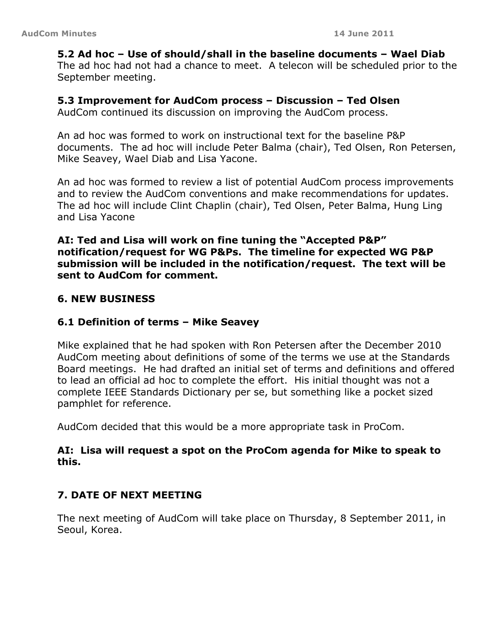### **5.2 Ad hoc – Use of should/shall in the baseline documents – Wael Diab**

The ad hoc had not had a chance to meet. A telecon will be scheduled prior to the September meeting.

### **5.3 Improvement for AudCom process – Discussion – Ted Olsen**

AudCom continued its discussion on improving the AudCom process.

An ad hoc was formed to work on instructional text for the baseline P&P documents. The ad hoc will include Peter Balma (chair), Ted Olsen, Ron Petersen, Mike Seavey, Wael Diab and Lisa Yacone.

An ad hoc was formed to review a list of potential AudCom process improvements and to review the AudCom conventions and make recommendations for updates. The ad hoc will include Clint Chaplin (chair), Ted Olsen, Peter Balma, Hung Ling and Lisa Yacone

### **AI: Ted and Lisa will work on fine tuning the "Accepted P&P" notification/request for WG P&Ps. The timeline for expected WG P&P submission will be included in the notification/request. The text will be sent to AudCom for comment.**

### **6. NEW BUSINESS**

### **6.1 Definition of terms – Mike Seavey**

Mike explained that he had spoken with Ron Petersen after the December 2010 AudCom meeting about definitions of some of the terms we use at the Standards Board meetings. He had drafted an initial set of terms and definitions and offered to lead an official ad hoc to complete the effort. His initial thought was not a complete IEEE Standards Dictionary per se, but something like a pocket sized pamphlet for reference.

AudCom decided that this would be a more appropriate task in ProCom.

### **AI: Lisa will request a spot on the ProCom agenda for Mike to speak to this.**

### **7. DATE OF NEXT MEETING**

The next meeting of AudCom will take place on Thursday, 8 September 2011, in Seoul, Korea.